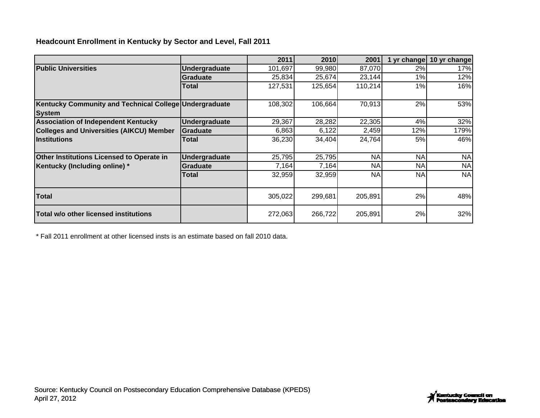## **Headcount Enrollment in Kentucky by Sector and Level, Fall 2011**

|                                                                        |                 | 2011    | 2010    | 2001      | 1 yr change | 10 yr change |
|------------------------------------------------------------------------|-----------------|---------|---------|-----------|-------------|--------------|
| <b>Public Universities</b>                                             | Undergraduate   | 101,697 | 99,980  | 87,070    | 2%          | 17%          |
|                                                                        | <b>Graduate</b> | 25,834  | 25,674  | 23,144    | 1%          | 12%          |
|                                                                        | Total           | 127,531 | 125,654 | 110,214   | 1%          | 16%          |
| Kentucky Community and Technical College Undergraduate                 |                 | 108,302 | 106,664 | 70,913    | 2%          | 53%          |
| <b>System</b>                                                          |                 |         |         |           |             |              |
| <b>Association of Independent Kentucky</b>                             | Undergraduate   | 29,367  | 28,282  | 22,305    | 4%          | 32%          |
| <b>Colleges and Universities (AIKCU) Member</b><br><b>Institutions</b> | <b>Graduate</b> | 6,863   | 6,122   | 2,459     | 12%         | 179%         |
|                                                                        | Total           | 36,230  | 34,404  | 24,764    | 5%          | 46%          |
|                                                                        |                 |         |         |           |             |              |
| Other Institutions Licensed to Operate in                              | Undergraduate   | 25,795  | 25,795  | <b>NA</b> | <b>NA</b>   | <b>NA</b>    |
| Kentucky (Including online) *                                          | <b>Graduate</b> | 7,164   | 7,164   | NA.       | <b>NA</b>   | <b>NA</b>    |
|                                                                        | Total           | 32,959  | 32,959  | <b>NA</b> | <b>NA</b>   | <b>NA</b>    |
| <b>Total</b>                                                           |                 | 305,022 | 299,681 | 205,891   | 2%          | 48%          |
| Total w/o other licensed institutions                                  |                 | 272,063 | 266,722 | 205,891   | 2%          | 32%          |

\* Fall 2011 enrollment at other licensed insts is an estimate based on fall 2010 data.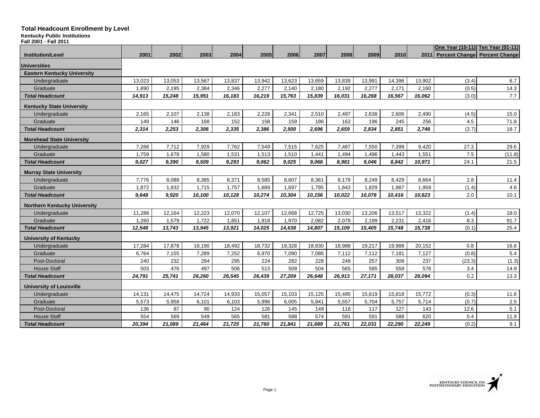**Kentucky Public Institutions**

| Fall 2001 - Fall 2011               |        |        |        |        |        |        |        |        |        |        |        |                                    |                                   |
|-------------------------------------|--------|--------|--------|--------|--------|--------|--------|--------|--------|--------|--------|------------------------------------|-----------------------------------|
| <b>Institution/Level</b>            | 2001   | 2002   | 2003   | 2004   | 2005   | 2006   | 2007   | 2008   | 2009   | 2010   |        | 2011 Percent Change Percent Change | One Year (10-11) Ten Year (01-11) |
|                                     |        |        |        |        |        |        |        |        |        |        |        |                                    |                                   |
| <b>Universities</b>                 |        |        |        |        |        |        |        |        |        |        |        |                                    |                                   |
| <b>Eastern Kentucky University</b>  |        |        |        |        |        |        |        |        |        |        |        |                                    |                                   |
| Undergraduate                       | 13,023 | 13,053 | 13,567 | 13,837 | 13,942 | 13,623 | 13,659 | 13,839 | 13,991 | 14,396 | 13,902 | (3.4)                              | 6.7                               |
| Graduate                            | 1,890  | 2,195  | 2,384  | 2,346  | 2,277  | 2,140  | 2,180  | 2,192  | 2,277  | 2,171  | 2,160  | (0.5)                              | 14.3                              |
| <b>Total Headcount</b>              | 14,913 | 15,248 | 15,951 | 16,183 | 16,219 | 15,763 | 15,839 | 16,031 | 16,268 | 16,567 | 16,062 | (3.0)                              | 7.7                               |
| <b>Kentucky State University</b>    |        |        |        |        |        |        |        |        |        |        |        |                                    |                                   |
| Undergraduate                       | 2,165  | 2,107  | 2,138  | 2,183  | 2,228  | 2,341  | 2,510  | 2,497  | 2,638  | 2,606  | 2,490  | (4.5)                              | 15.0                              |
| Graduate                            | 149    | 146    | 168    | 152    | 158    | 159    | 186    | 162    | 196    | 245    | 256    | 4.5                                | 71.8                              |
| <b>Total Headcount</b>              | 2,314  | 2,253  | 2,306  | 2,335  | 2,386  | 2,500  | 2,696  | 2,659  | 2,834  | 2,851  | 2,746  | (3.7)                              | 18.7                              |
| <b>Morehead State University</b>    |        |        |        |        |        |        |        |        |        |        |        |                                    |                                   |
| Undergraduate                       | 7,268  | 7,712  | 7,929  | 7,762  | 7,549  | 7,515  | 7,625  | 7,487  | 7,550  | 7,399  | 9,420  | 27.3                               | 29.6                              |
| Graduate                            | 1,759  | 1,678  | 1,580  | 1,531  | 1,513  | 1,510  | 1,441  | 1,494  | 1,496  | 1,443  | 1,551  | 7.5                                | (11.8)                            |
| <b>Total Headcount</b>              | 9,027  | 9,390  | 9,509  | 9,293  | 9,062  | 9,025  | 9,066  | 8,981  | 9,046  | 8,842  | 10,971 | 24.1                               | 21.5                              |
| <b>Murray State University</b>      |        |        |        |        |        |        |        |        |        |        |        |                                    |                                   |
| Undergraduate                       | 7,776  | 8,088  | 8,385  | 8,371  | 8,585  | 8,607  | 8,361  | 8,179  | 8,249  | 8,429  | 8,664  | 2.8                                | 11.4                              |
| Graduate                            | 1,872  | 1,832  | 1,715  | 1,757  | 1,689  | 1,697  | 1,795  | 1,843  | 1,829  | 1,987  | 1,959  | (1.4)                              | 4.6                               |
| <b>Total Headcount</b>              | 9,648  | 9,920  | 10,100 | 10,128 | 10,274 | 10,304 | 10,156 | 10,022 | 10,078 | 10,416 | 10,623 | 2.0                                | 10.1                              |
| <b>Northern Kentucky University</b> |        |        |        |        |        |        |        |        |        |        |        |                                    |                                   |
| Undergraduate                       | 11,288 | 12,164 | 12,223 | 12,070 | 12,107 | 12,668 | 12,725 | 13,030 | 13,206 | 13,517 | 13,322 | (1.4)                              | 18.0                              |
| Graduate                            | 1,260  | 1,579  | 1,722  | 1,851  | 1,918  | 1,970  | 2,082  | 2,079  | 2,199  | 2,231  | 2,416  | 8.3                                | 91.7                              |
| <b>Total Headcount</b>              | 12.548 | 13,743 | 13,945 | 13.921 | 14.025 | 14.638 | 14.807 | 15.109 | 15.405 | 15.748 | 15,738 | (0.1)                              | 25.4                              |
| <b>University of Kentucky</b>       |        |        |        |        |        |        |        |        |        |        |        |                                    |                                   |
| Undergraduate                       | 17,284 | 17,878 | 18,190 | 18,492 | 18,732 | 19,328 | 18,830 | 18,988 | 19,217 | 19,988 | 20,152 | 0.8                                | 16.6                              |
| Graduate                            | 6,764  | 7,155  | 7,289  | 7,252  | 6,970  | 7,090  | 7,086  | 7,112  | 7,112  | 7,181  | 7,127  | (0.8)                              | 5.4                               |
| Post-Doctoral                       | 240    | 232    | 284    | 295    | 224    | 282    | 228    | 248    | 257    | 309    | 237    | (23.3)                             | (1.3)                             |
| <b>House Staff</b>                  | 503    | 476    | 497    | 506    | 513    | 509    | 504    | 565    | 585    | 559    | 578    | 3.4                                | 14.9                              |
| <b>Total Headcount</b>              | 24,791 | 25,741 | 26,260 | 26,545 | 26,439 | 27,209 | 26,648 | 26,913 | 27,171 | 28,037 | 28,094 | $0.2\,$                            | 13.3                              |
| <b>University of Louisville</b>     |        |        |        |        |        |        |        |        |        |        |        |                                    |                                   |
| Undergraduate                       | 14,131 | 14,475 | 14,724 | 14,933 | 15,057 | 15,103 | 15,125 | 15,495 | 15,619 | 15,818 | 15,772 | (0.3)                              | 11.6                              |
| Graduate                            | 5,573  | 5,958  | 6,101  | 6,103  | 5,996  | 6,005  | 5,841  | 5,557  | 5,704  | 5,757  | 5,714  | (0.7)                              | 2.5                               |
| Post-Doctoral                       | 136    | 87     | 90     | 124    | 126    | 145    | 149    | 118    | 117    | 127    | 143    | 12.6                               | 5.1                               |
| <b>House Staff</b>                  | 554    | 569    | 549    | 565    | 581    | 588    | 574    | 591    | 591    | 588    | 620    | 5.4                                | 11.9                              |
| <b>Total Headcount</b>              | 20,394 | 21,089 | 21,464 | 21,725 | 21,760 | 21,841 | 21,689 | 21,761 | 22,031 | 22,290 | 22,249 | (0.2)                              | 9.1                               |

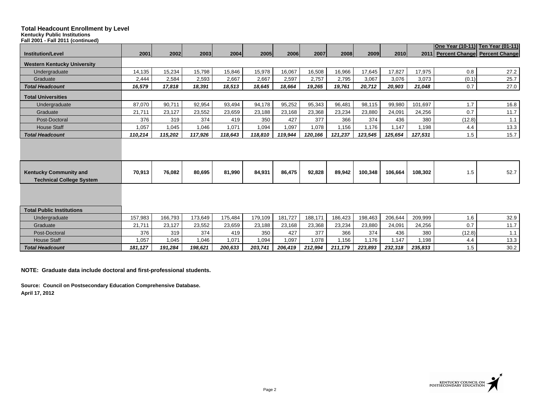#### **Kentucky Public Institutions**

| <b>Kentucky Public Institutions</b><br>Fall 2001 - Fall 2011 (continued) |              |              |              |              |              |              |              |              |              |              |              |               |                                    |
|--------------------------------------------------------------------------|--------------|--------------|--------------|--------------|--------------|--------------|--------------|--------------|--------------|--------------|--------------|---------------|------------------------------------|
|                                                                          |              |              |              |              |              |              |              |              |              |              |              |               | One Year (10-11) Ten Year (01-11)  |
| <b>Institution/Level</b>                                                 | 2001         | 2002         | 2003         | 2004         | 2005         | 2006         | 2007         | 2008         | 2009         | 2010         |              |               | 2011 Percent Change Percent Change |
| <b>Western Kentucky University</b>                                       |              |              |              |              |              |              |              |              |              |              |              |               |                                    |
| Undergraduate                                                            | 14,135       | 15,234       | 15,798       | 15,846       | 15,978       | 16,067       | 16,508       | 16,966       | 17,645       | 17,827       | 17,975       | 0.8           | 27.2                               |
| Graduate                                                                 | 2,444        | 2,584        | 2,593        | 2,667        | 2,667        | 2,597        | 2,757        | 2,795        | 3,067        | 3,076        | 3,073        | (0.1)         | 25.7                               |
| <b>Total Headcount</b>                                                   | 16,579       | 17,818       | 18,391       | 18,513       | 18,645       | 18,664       | 19,265       | 19,761       | 20,712       | 20,903       | 21,048       | 0.7           | 27.0                               |
| <b>Total Universities</b>                                                |              |              |              |              |              |              |              |              |              |              |              |               |                                    |
| Undergraduate                                                            | 87,070       | 90,711       | 92,954       | 93,494       | 94,178       | 95,252       | 95,343       | 96,481       | 98,115       | 99,980       | 101.697      | 1.7           | 16.8                               |
| Graduate                                                                 | 21,711       | 23,127       | 23,552       | 23,659       | 23,188       | 23,168       | 23,368       | 23,234       | 23,880       | 24,091       | 24,256       | 0.7           | 11.7                               |
| Post-Doctoral                                                            | 376          | 319          | 374          | 419          | 350          | 427          | 377          | 366          | 374          | 436          | 380          | (12.8)        | 1.1                                |
| <b>House Staff</b>                                                       | 1,057        | 1,045        | 1,046        | 1,071        | 1,094        | 1,097        | 1,078        | 1,156        | 1,176        | 1,147        | 1,198        | 4.4           | 13.3                               |
| <b>Total Headcount</b>                                                   | 110,214      | 115,202      | 117,926      | 118,643      | 118,810      | 119,944      | 120,166      | 121,237      | 123,545      | 125,654      | 127,531      | 1.5           | 15.7                               |
|                                                                          |              |              |              |              |              |              |              |              |              |              |              |               |                                    |
| <b>Kentucky Community and</b><br><b>Technical College System</b>         | 70,913       | 76,082       | 80,695       | 81,990       | 84,931       | 86,475       | 92,828       | 89,942       | 100,348      | 106,664      | 108,302      | 1.5           | 52.7                               |
|                                                                          |              |              |              |              |              |              |              |              |              |              |              |               |                                    |
| <b>Total Public Institutions</b>                                         |              |              |              |              |              |              |              |              |              |              |              |               |                                    |
| Undergraduate                                                            | 157,983      | 166,793      | 173,649      | 175,484      | 179,109      | 181,727      | 188,171      | 186,423      | 198,463      | 206,644      | 209,999      | 1.6           | 32.9                               |
| Graduate                                                                 | 21,711       | 23,127       | 23,552       | 23,659       | 23,188       | 23,168       | 23,368       | 23,234       | 23,880       | 24,091       | 24,256       | 0.7           | 11.7                               |
| Post-Doctoral<br><b>House Staff</b>                                      | 376<br>1,057 | 319<br>1.045 | 374<br>1,046 | 419<br>1.071 | 350<br>1,094 | 427<br>1,097 | 377<br>1,078 | 366<br>1.156 | 374<br>1.176 | 436<br>1.147 | 380<br>1.198 | (12.8)<br>4.4 | 1.1<br>13.3                        |
|                                                                          |              |              |              |              |              |              |              |              |              |              |              |               |                                    |
| <b>Total Headcount</b>                                                   | 181,127      | 191,284      | 198,621      | 200,633      | 203,741      | 206,419      | 212,994      | 211,179      | 223,893      | 232,318      | 235,833      | 1.5           | 30.2                               |

**NOTE: Graduate data include doctoral and first-professional students.**

**Source: Council on Postsecondary Education Comprehensive Database. April 17, 2012**

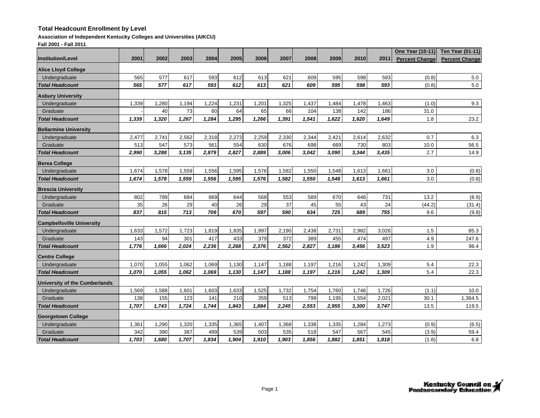#### **Association of Independent Kentucky Colleges and Universities (AIKCU)**

**Fall 2001 - Fall 2011**

|                                      |       |       |       |       |       |       |       |       |       |       |       | One Year (10-11)      | <b>Ten Year (01-11)</b> |
|--------------------------------------|-------|-------|-------|-------|-------|-------|-------|-------|-------|-------|-------|-----------------------|-------------------------|
| <b>Institution/Level</b>             | 2001  | 2002  | 2003  | 2004  | 2005  | 2006  | 2007  | 2008  | 2009  | 2010  | 2011  | <b>Percent Change</b> | <b>Percent Change</b>   |
| <b>Alice Lloyd College</b>           |       |       |       |       |       |       |       |       |       |       |       |                       |                         |
| Undergraduate                        | 565   | 577   | 617   | 593   | 612   | 613   | 621   | 609   | 595   | 598   | 593   | (0.8)                 | 5.0                     |
| Total Headcount                      | 565   | 577   | 617   | 593   | 612   | 613   | 621   | 609   | 595   | 598   | 593   | (0.8)                 | 5.0                     |
| <b>Asbury University</b>             |       |       |       |       |       |       |       |       |       |       |       |                       |                         |
| Undergraduate                        | 1,339 | 1,280 | 1,194 | 1,224 | 1,231 | 1,201 | 1,325 | 1,437 | 1,484 | 1,478 | 1,463 | (1.0)                 | 9.3                     |
| Graduate                             |       | 40    | 73    | 60    | 64    | 65    | 66    | 104   | 138   | 142   | 186   | 31.0                  |                         |
| Total Headcount                      | 1,339 | 1,320 | 1,267 | 1,284 | 1,295 | 1,266 | 1,391 | 1,541 | 1,622 | 1,620 | 1,649 | 1.8                   | 23.2                    |
| <b>Bellarmine University</b>         |       |       |       |       |       |       |       |       |       |       |       |                       |                         |
| Undergraduate                        | 2,477 | 2,741 | 2,562 | 2,318 | 2,273 | 2,259 | 2,330 | 2,344 | 2,421 | 2,614 | 2,632 | 0.7                   | 6.3                     |
| Graduate                             | 513   | 547   | 573   | 561   | 554   | 630   | 676   | 698   | 669   | 730   | 803   | 10.0                  | 56.5                    |
| <b>Total Headcount</b>               | 2,990 | 3,288 | 3,135 | 2,879 | 2.827 | 2.889 | 3,006 | 3,042 | 3,090 | 3,344 | 3,435 | 2.7                   | 14.9                    |
| <b>Berea College</b>                 |       |       |       |       |       |       |       |       |       |       |       |                       |                         |
| Undergraduate                        | 1,674 | 1,578 | 1,559 | 1,556 | 1,595 | 1,576 | 1,582 | 1,550 | 1,548 | 1,613 | 1,661 | 3.0                   | (0.8)                   |
| Total Headcount                      | 1,674 | 1,578 | 1,559 | 1,556 | 1,595 | 1,576 | 1,582 | 1,550 | 1,548 | 1,613 | 1,661 | 3.0                   | (0.8)                   |
| <b>Brescia University</b>            |       |       |       |       |       |       |       |       |       |       |       |                       |                         |
| Undergraduate                        | 802   | 789   | 684   | 669   | 644   | 568   | 553   | 589   | 670   | 646   | 731   | 13.2                  | (8.9)                   |
| Graduate                             | 35    | 26    | 29    | 40    | 26    | 29    | 37    | 45    | 55    | 43    | 24    | (44.2)                | (31.4)                  |
| <b>Total Headcount</b>               | 837   | 815   | 713   | 709   | 670   | 597   | 590   | 634   | 725   | 689   | 755   | 9.6                   | (9.8)                   |
| <b>Campbellsville University</b>     |       |       |       |       |       |       |       |       |       |       |       |                       |                         |
| Undergraduate                        | 1,633 | 1,572 | 1,723 | 1,819 | 1,835 | 1,997 | 2,190 | 2,438 | 2,731 | 2,982 | 3,026 | 1.5                   | 85.3                    |
| Graduate                             | 143   | 94    | 301   | 417   | 433   | 379   | 372   | 389   | 455   | 474   | 497   | 4.9                   | 247.6                   |
| Total Headcount                      | 1,776 | 1,666 | 2,024 | 2,236 | 2,268 | 2,376 | 2,562 | 2,827 | 3,186 | 3,456 | 3,523 | 1.9                   | 98.4                    |
| <b>Centre College</b>                |       |       |       |       |       |       |       |       |       |       |       |                       |                         |
| Undergraduate                        | 1,070 | 1,055 | 1,062 | 1,069 | 1,130 | 1,147 | 1,188 | 1,197 | 1,216 | 1,242 | 1,309 | 5.4                   | 22.3                    |
| <b>Total Headcount</b>               | 1,070 | 1,055 | 1,062 | 1,069 | 1,130 | 1,147 | 1,188 | 1,197 | 1,216 | 1,242 | 1,309 | 5.4                   | 22.3                    |
| <b>University of the Cumberlands</b> |       |       |       |       |       |       |       |       |       |       |       |                       |                         |
| Undergraduate                        | 1,569 | 1,588 | 1,601 | 1,603 | 1,633 | 1,525 | 1,732 | 1,754 | 1,760 | 1,746 | 1,726 | (1.1)                 | 10.0                    |
| Graduate                             | 138   | 155   | 123   | 141   | 210   | 359   | 513   | 799   | 1,195 | 1,554 | 2,021 | 30.1                  | 1,364.5                 |
| <b>Total Headcount</b>               | 1,707 | 1,743 | 1,724 | 1.744 | 1,843 | 1.884 | 2,245 | 2,553 | 2,955 | 3,300 | 3,747 | 13.5                  | 119.5                   |
| <b>Georgetown College</b>            |       |       |       |       |       |       |       |       |       |       |       |                       |                         |
| Undergraduate                        | 1,361 | 1,290 | 1,320 | 1,335 | 1,365 | 1,407 | 1,368 | 1,338 | 1,335 | 1,284 | 1,273 | (0.9)                 | (6.5)                   |
| Graduate                             | 342   | 390   | 387   | 499   | 539   | 503   | 535   | 518   | 547   | 567   | 545   | (3.9)                 | 59.4                    |
| <b>Total Headcount</b>               | 1,703 | 1,680 | 1,707 | 1,834 | 1,904 | 1,910 | 1,903 | 1,856 | 1,882 | 1,851 | 1,818 | (1.8)                 | 6.8                     |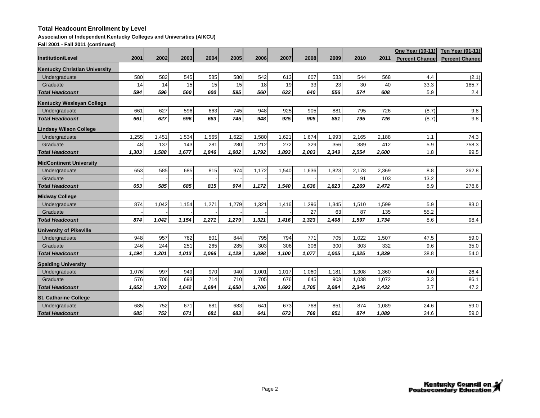#### **Association of Independent Kentucky Colleges and Universities (AIKCU)**

**Fall 2001 - Fall 2011 (continued)**

|                                      |       |       |       |       |       |       |       |       |       |       |       | <b>One Year (10-11)</b> | <b>Ten Year (01-11)</b> |
|--------------------------------------|-------|-------|-------|-------|-------|-------|-------|-------|-------|-------|-------|-------------------------|-------------------------|
| <b>Institution/Level</b>             | 2001  | 2002  | 2003  | 2004  | 2005  | 2006  | 2007  | 2008  | 2009  | 2010  | 2011  | <b>Percent Change</b>   | <b>Percent Change</b>   |
| <b>Kentucky Christian University</b> |       |       |       |       |       |       |       |       |       |       |       |                         |                         |
| Undergraduate                        | 580   | 582   | 545   | 585   | 580   | 542   | 613   | 607   | 533   | 544   | 568   | 4.4                     | (2.1)                   |
| Graduate                             | 14    | 14    | 15    | 15    | 15    | 18    | 19    | 33    | 23    | 30    | 40    | 33.3                    | 185.7                   |
| <b>Total Headcount</b>               | 594   | 596   | 560   | 600   | 595   | 560   | 632   | 640   | 556   | 574   | 608   | 5.9                     | 2.4                     |
| <b>Kentucky Wesleyan College</b>     |       |       |       |       |       |       |       |       |       |       |       |                         |                         |
| Undergraduate                        | 661   | 627   | 596   | 663   | 745   | 948   | 925   | 905   | 881   | 795   | 726   | (8.7)                   | 9.8                     |
| <b>Total Headcount</b>               | 661   | 627   | 596   | 663   | 745   | 948   | 925   | 905   | 881   | 795   | 726   | (8.7)                   | 9.8                     |
| <b>Lindsey Wilson College</b>        |       |       |       |       |       |       |       |       |       |       |       |                         |                         |
| Undergraduate                        | 1,255 | 1,451 | 1,534 | 1,565 | 1,622 | 1,580 | 1,621 | 1,674 | 1,993 | 2,165 | 2,188 | 1.1                     | 74.3                    |
| Graduate                             | 48    | 137   | 143   | 281   | 280   | 212   | 272   | 329   | 356   | 389   | 412   | 5.9                     | 758.3                   |
| Total Headcount                      | 1,303 | 1,588 | 1,677 | 1,846 | 1,902 | 1,792 | 1,893 | 2,003 | 2,349 | 2,554 | 2,600 | 1.8                     | 99.5                    |
| <b>MidContinent University</b>       |       |       |       |       |       |       |       |       |       |       |       |                         |                         |
| Undergraduate                        | 653   | 585   | 685   | 815   | 974   | 1,172 | 1,540 | 1,636 | 1,823 | 2,178 | 2,369 | 8.8                     | 262.8                   |
| Graduate                             |       |       |       |       |       |       |       |       |       | 91    | 103   | 13.2                    |                         |
| <b>Total Headcount</b>               | 653   | 585   | 685   | 815   | 974   | 1.172 | 1,540 | 1.636 | 1.823 | 2,269 | 2,472 | 8.9                     | 278.6                   |
| <b>Midway College</b>                |       |       |       |       |       |       |       |       |       |       |       |                         |                         |
| Undergraduate                        | 874   | 1,042 | 1,154 | 1,271 | 1,279 | 1,321 | 1,416 | 1,296 | 1,345 | 1,510 | 1,599 | 5.9                     | 83.0                    |
| Graduate                             |       |       |       |       |       |       |       | 27    | 63    | 87    | 135   | 55.2                    |                         |
| <b>Total Headcount</b>               | 874   | 1,042 | 1,154 | 1,271 | 1,279 | 1,321 | 1,416 | 1,323 | 1,408 | 1,597 | 1,734 | 8.6                     | 98.4                    |
| <b>University of Pikeville</b>       |       |       |       |       |       |       |       |       |       |       |       |                         |                         |
| Undergraduate                        | 948   | 957   | 762   | 801   | 844   | 795   | 794   | 771   | 705   | 1,022 | 1,507 | 47.5                    | 59.0                    |
| Graduate                             | 246   | 244   | 251   | 265   | 285   | 303   | 306   | 306   | 300   | 303   | 332   | 9.6                     | 35.0                    |
| <b>Total Headcount</b>               | 1,194 | 1.201 | 1.013 | 1.066 | 1.129 | 1.098 | 1.100 | 1.077 | 1.005 | 1.325 | 1,839 | 38.8                    | 54.0                    |
| <b>Spalding University</b>           |       |       |       |       |       |       |       |       |       |       |       |                         |                         |
| Undergraduate                        | 1,076 | 997   | 949   | 970   | 940   | 1,001 | 1,017 | 1,060 | 1,181 | 1,308 | 1,360 | 4.0                     | 26.4                    |
| Graduate                             | 576   | 706   | 693   | 714   | 710   | 705   | 676   | 645   | 903   | 1,038 | 1,072 | 3.3                     | 86.1                    |
| <b>Total Headcount</b>               | 1,652 | 1,703 | 1,642 | 1.684 | 1.650 | 1,706 | 1,693 | 1,705 | 2,084 | 2,346 | 2,432 | 3.7                     | 47.2                    |
| <b>St. Catharine College</b>         |       |       |       |       |       |       |       |       |       |       |       |                         |                         |
| Undergraduate                        | 685   | 752   | 671   | 681   | 683   | 641   | 673   | 768   | 851   | 874   | 1,089 | 24.6                    | 59.0                    |
| <b>Total Headcount</b>               | 685   | 752   | 671   | 681   | 683   | 641   | 673   | 768   | 851   | 874   | 1,089 | 24.6                    | 59.0                    |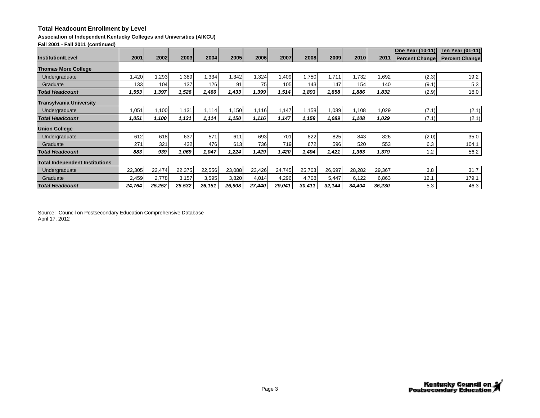### **Association of Independent Kentucky Colleges and Universities (AIKCU)**

**Fall 2001 - Fall 2011 (continued)**

|                                       |        |        |        |        |        |        |        |        |        |        |        | <b>One Year (10-11)</b> | <b>Ten Year (01-11)</b> |
|---------------------------------------|--------|--------|--------|--------|--------|--------|--------|--------|--------|--------|--------|-------------------------|-------------------------|
| <b>Institution/Level</b>              | 2001   | 2002   | 2003   | 2004   | 2005   | 2006   | 2007   | 2008   | 2009   | 2010   | 2011   | <b>Percent Changel</b>  | <b>Percent Change</b>   |
| <b>Thomas More College</b>            |        |        |        |        |        |        |        |        |        |        |        |                         |                         |
| Undergraduate                         | ,420   | 1,293  | ,389   | .334   | ,342   | 1,324  | 1,409  | 1,750  | 1,711  | ,732   | .692   | (2.3)                   | 19.2                    |
| Graduate                              | 133    | 104    | 137    | 126    | 91     | 75     | 105    | 143    | 147    | 154    | 140    | (9.1)                   | 5.3                     |
| <b>Total Headcount</b>                | 1,553  | 1,397  | 1,526  | 1,460  | 1,433  | 1,399  | 1,514  | 1,893  | 1,858  | 1,886  | 1,832  | (2.9)                   | 18.0                    |
| <b>Transylvania University</b>        |        |        |        |        |        |        |        |        |        |        |        |                         |                         |
| Undergraduate                         | 1,051  | 1,100  | 1,131  | 114    | 1,150  | 1,116  | 1,147  | 1,158  | 1,089  | 1,108  | 1,029  | (7.1)                   | (2.1)                   |
| <b>Total Headcount</b>                | 1,051  | 1.100  | 1,131  | 1,114  | 1,150  | 1,116  | 1,147  | 1,158  | 1,089  | 1,108  | 1,029  | (7.1)                   | (2.1)                   |
| <b>Union College</b>                  |        |        |        |        |        |        |        |        |        |        |        |                         |                         |
| Undergraduate                         | 612    | 618    | 637    | 571    | 611    | 693    | 701    | 822    | 825    | 843    | 826    | (2.0)                   | 35.0                    |
| Graduate                              | 271    | 321    | 432    | 476    | 613    | 736    | 719    | 672    | 596    | 520    | 553    | 6.3                     | 104.1                   |
| <b>Total Headcount</b>                | 883    | 939    | 1,069  | 1,047  | 1,224  | 1,429  | 1,420  | 1,494  | 1,421  | 1,363  | 1,379  | 1.2                     | 56.2                    |
| <b>Total Independent Institutions</b> |        |        |        |        |        |        |        |        |        |        |        |                         |                         |
| Undergraduate                         | 22,305 | 22,474 | 22,375 | 22,556 | 23,088 | 23,426 | 24,745 | 25,703 | 26,697 | 28,282 | 29,367 | 3.8                     | 31.7                    |
| Graduate                              | 2,459  | 2,778  | 3,157  | 3,595  | 3,820  | 4,014  | 4,296  | 4,708  | 5,447  | 6,122  | 6,863  | 12.1                    | 179.1                   |
| <b>Total Headcount</b>                | 24,764 | 25,252 | 25,532 | 26,151 | 26,908 | 27,440 | 29,041 | 30,411 | 32,144 | 34,404 | 36,230 | 5.3                     | 46.3                    |

Source: Council on Postsecondary Education Comprehensive Database April 17, 2012

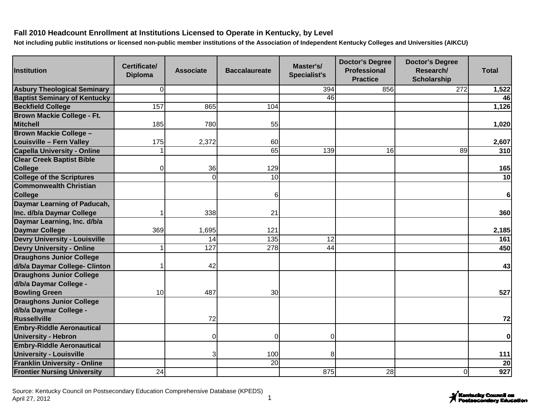| <b>Institution</b>                   | Certificate/<br><b>Diploma</b> | <b>Associate</b> | <b>Baccalaureate</b> | Master's/<br><b>Specialist's</b> | <b>Doctor's Degree</b><br><b>Professional</b><br><b>Practice</b> | <b>Doctor's Degree</b><br>Research/<br><b>Scholarship</b> | <b>Total</b>   |
|--------------------------------------|--------------------------------|------------------|----------------------|----------------------------------|------------------------------------------------------------------|-----------------------------------------------------------|----------------|
| <b>Asbury Theological Seminary</b>   | $\Omega$                       |                  |                      | 394                              | 856                                                              | 272                                                       | 1,522          |
| <b>Baptist Seminary of Kentucky</b>  |                                |                  |                      | 46                               |                                                                  |                                                           | 46             |
| <b>Beckfield College</b>             | 157                            | 865              | 104                  |                                  |                                                                  |                                                           | 1,126          |
| <b>Brown Mackie College - Ft.</b>    |                                |                  |                      |                                  |                                                                  |                                                           |                |
| <b>Mitchell</b>                      | 185                            | 780              | 55                   |                                  |                                                                  |                                                           | 1,020          |
| <b>Brown Mackie College -</b>        |                                |                  |                      |                                  |                                                                  |                                                           |                |
| <b>Louisville - Fern Valley</b>      | 175                            | 2,372            | 60                   |                                  |                                                                  |                                                           | 2,607          |
| <b>Capella University - Online</b>   |                                |                  | 65                   | 139                              | 16                                                               | 89                                                        | 310            |
| <b>Clear Creek Baptist Bible</b>     |                                |                  |                      |                                  |                                                                  |                                                           |                |
| <b>College</b>                       | $\Omega$                       | 36               | 129                  |                                  |                                                                  |                                                           | 165            |
| <b>College of the Scriptures</b>     |                                | $\overline{O}$   | $\overline{10}$      |                                  |                                                                  |                                                           | 10             |
| <b>Commonwealth Christian</b>        |                                |                  |                      |                                  |                                                                  |                                                           |                |
| <b>College</b>                       |                                |                  | 6                    |                                  |                                                                  |                                                           | $6\phantom{1}$ |
| Daymar Learning of Paducah,          |                                |                  |                      |                                  |                                                                  |                                                           |                |
| Inc. d/b/a Daymar College            |                                | 338              | 21                   |                                  |                                                                  |                                                           | 360            |
| Daymar Learning, Inc. d/b/a          |                                |                  |                      |                                  |                                                                  |                                                           |                |
| <b>Daymar College</b>                | 369                            | 1,695            | 121                  |                                  |                                                                  |                                                           | 2,185          |
| <b>Devry University - Louisville</b> |                                | 14               | $\overline{135}$     | $\overline{12}$                  |                                                                  |                                                           | 161            |
| <b>Devry University - Online</b>     |                                | 127              | 278                  | 44                               |                                                                  |                                                           | 450            |
| <b>Draughons Junior College</b>      |                                |                  |                      |                                  |                                                                  |                                                           |                |
| d/b/a Daymar College- Clinton        |                                | 42               |                      |                                  |                                                                  |                                                           | 43             |
| <b>Draughons Junior College</b>      |                                |                  |                      |                                  |                                                                  |                                                           |                |
| d/b/a Daymar College -               |                                |                  |                      |                                  |                                                                  |                                                           |                |
| <b>Bowling Green</b>                 | 10                             | 487              | 30                   |                                  |                                                                  |                                                           | 527            |
| <b>Draughons Junior College</b>      |                                |                  |                      |                                  |                                                                  |                                                           |                |
| d/b/a Daymar College -               |                                |                  |                      |                                  |                                                                  |                                                           |                |
| Russellville                         |                                | 72               |                      |                                  |                                                                  |                                                           | 72             |
| <b>Embry-Riddle Aeronautical</b>     |                                |                  |                      |                                  |                                                                  |                                                           |                |
| <b>University - Hebron</b>           |                                | $\overline{O}$   | 0                    | 0                                |                                                                  |                                                           | $\mathbf 0$    |
| <b>Embry-Riddle Aeronautical</b>     |                                |                  |                      |                                  |                                                                  |                                                           |                |
| <b>University - Louisville</b>       |                                | 3                | 100                  | 8                                |                                                                  |                                                           | 111            |
| <b>Franklin University - Online</b>  |                                |                  | 20                   |                                  |                                                                  |                                                           | 20             |
| <b>Frontier Nursing University</b>   | 24                             |                  |                      | 875                              | 28                                                               | Οl                                                        | 927            |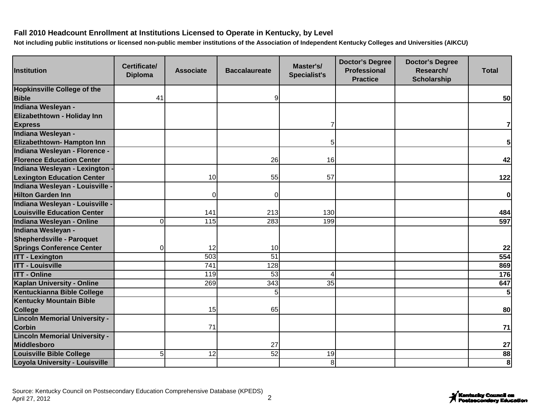| <b>Institution</b>                                                | Certificate/<br><b>Diploma</b> | <b>Associate</b> | <b>Baccalaureate</b> | Master's/<br><b>Specialist's</b> | <b>Doctor's Degree</b><br><b>Professional</b><br><b>Practice</b> | <b>Doctor's Degree</b><br>Research/<br><b>Scholarship</b> | <b>Total</b>   |
|-------------------------------------------------------------------|--------------------------------|------------------|----------------------|----------------------------------|------------------------------------------------------------------|-----------------------------------------------------------|----------------|
| <b>Hopkinsville College of the</b>                                |                                |                  |                      |                                  |                                                                  |                                                           |                |
| <b>Bible</b>                                                      | 41                             |                  | 9                    |                                  |                                                                  |                                                           | 50             |
| Indiana Wesleyan -                                                |                                |                  |                      |                                  |                                                                  |                                                           |                |
| Elizabethtown - Holiday Inn                                       |                                |                  |                      |                                  |                                                                  |                                                           |                |
| <b>Express</b>                                                    |                                |                  |                      |                                  |                                                                  |                                                           | 7              |
| Indiana Wesleyan -                                                |                                |                  |                      |                                  |                                                                  |                                                           |                |
| Elizabethtown- Hampton Inn                                        |                                |                  |                      | 5                                |                                                                  |                                                           | 5 <sub>l</sub> |
| Indiana Wesleyan - Florence -<br><b>Florence Education Center</b> |                                |                  | 26                   | 16                               |                                                                  |                                                           | 42             |
| Indiana Wesleyan - Lexington ·                                    |                                |                  |                      |                                  |                                                                  |                                                           |                |
| <b>Lexington Education Center</b>                                 |                                | 10               | 55                   | 57                               |                                                                  |                                                           | 122            |
| Indiana Wesleyan - Louisville -                                   |                                |                  |                      |                                  |                                                                  |                                                           |                |
| <b>Hilton Garden Inn</b>                                          |                                | $\Omega$         | 0                    |                                  |                                                                  |                                                           | 0              |
| Indiana Wesleyan - Louisville -                                   |                                |                  |                      |                                  |                                                                  |                                                           |                |
| <b>Louisville Education Center</b>                                |                                | 141              | 213                  | 130                              |                                                                  |                                                           | 484            |
| Indiana Wesleyan - Online                                         | $\overline{O}$                 | 115              | 283                  | 199                              |                                                                  |                                                           | 597            |
| Indiana Wesleyan -                                                |                                |                  |                      |                                  |                                                                  |                                                           |                |
| <b>Shepherdsville - Paroquet</b>                                  |                                |                  |                      |                                  |                                                                  |                                                           |                |
| <b>Springs Conference Center</b>                                  | 0                              | 12               | 10                   |                                  |                                                                  |                                                           | 22             |
| <b>ITT - Lexington</b>                                            |                                | 503              | $\overline{51}$      |                                  |                                                                  |                                                           | 554            |
| <b>ITT - Louisville</b>                                           |                                | $\overline{741}$ | 128                  |                                  |                                                                  |                                                           | 869            |
| <b>ITT - Online</b>                                               |                                | 119              | $\overline{53}$      | Δ                                |                                                                  |                                                           | 176            |
| <b>Kaplan University - Online</b>                                 |                                | 269              | $\frac{1}{343}$      | 35                               |                                                                  |                                                           | 647            |
| Kentuckianna Bible College                                        |                                |                  | 5                    |                                  |                                                                  |                                                           | 5 <sub>l</sub> |
| <b>Kentucky Mountain Bible</b>                                    |                                |                  |                      |                                  |                                                                  |                                                           |                |
| <b>College</b>                                                    |                                | 15               | 65                   |                                  |                                                                  |                                                           | 80             |
| <b>Lincoln Memorial University -</b>                              |                                |                  |                      |                                  |                                                                  |                                                           |                |
| <b>Corbin</b>                                                     |                                | 71               |                      |                                  |                                                                  |                                                           | 71             |
| <b>Lincoln Memorial University -</b>                              |                                |                  |                      |                                  |                                                                  |                                                           |                |
| <b>Middlesboro</b>                                                |                                |                  | 27                   |                                  |                                                                  |                                                           | 27             |
| <b>Louisville Bible College</b>                                   | 5 <sup>1</sup>                 | $\overline{12}$  | 52                   | 19                               |                                                                  |                                                           | 88             |
| Loyola University - Louisville                                    |                                |                  |                      | 8 <sup>1</sup>                   |                                                                  |                                                           | 8              |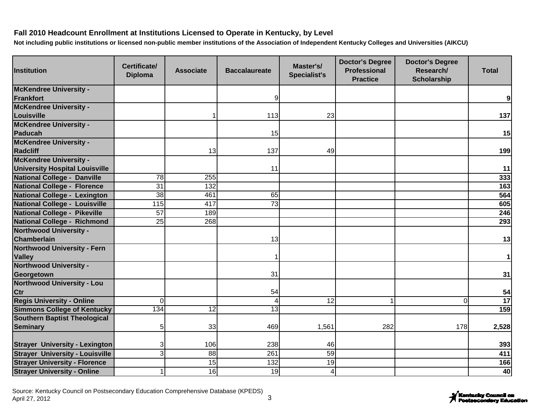| <b>Institution</b>                     | Certificate/<br><b>Diploma</b> | <b>Associate</b> | <b>Baccalaureate</b> | Master's/<br><b>Specialist's</b> | <b>Doctor's Degree</b><br><b>Professional</b><br><b>Practice</b> | <b>Doctor's Degree</b><br>Research/<br><b>Scholarship</b> | <b>Total</b> |
|----------------------------------------|--------------------------------|------------------|----------------------|----------------------------------|------------------------------------------------------------------|-----------------------------------------------------------|--------------|
| <b>McKendree University -</b>          |                                |                  |                      |                                  |                                                                  |                                                           |              |
| Frankfort                              |                                |                  | 9                    |                                  |                                                                  |                                                           | 9            |
| <b>McKendree University -</b>          |                                |                  |                      |                                  |                                                                  |                                                           |              |
| Louisville                             |                                |                  | 113                  | 23                               |                                                                  |                                                           | 137          |
| <b>McKendree University -</b>          |                                |                  |                      |                                  |                                                                  |                                                           |              |
| Paducah                                |                                |                  | 15                   |                                  |                                                                  |                                                           | 15           |
| <b>McKendree University -</b>          |                                |                  |                      |                                  |                                                                  |                                                           |              |
| <b>Radcliff</b>                        |                                | 13               | 137                  | 49                               |                                                                  |                                                           | 199          |
| <b>McKendree University -</b>          |                                |                  |                      |                                  |                                                                  |                                                           |              |
| <b>University Hospital Louisville</b>  |                                |                  | 11                   |                                  |                                                                  |                                                           | 11           |
| <b>National College - Danville</b>     | 78                             | 255              |                      |                                  |                                                                  |                                                           | 333          |
| <b>National College - Florence</b>     | $\overline{31}$                | 132              |                      |                                  |                                                                  |                                                           | 163          |
| National College - Lexington           | 38                             | 461              | 65                   |                                  |                                                                  |                                                           | 564          |
| <b>National College - Louisville</b>   | 115                            | 417              | $\overline{73}$      |                                  |                                                                  |                                                           | 605          |
| <b>National College - Pikeville</b>    | $\overline{57}$                | 189              |                      |                                  |                                                                  |                                                           | 246          |
| <b>National College - Richmond</b>     | $\overline{25}$                | 268              |                      |                                  |                                                                  |                                                           | 293          |
| <b>Northwood University -</b>          |                                |                  |                      |                                  |                                                                  |                                                           |              |
| Chamberlain                            |                                |                  | 13                   |                                  |                                                                  |                                                           | 13           |
| <b>Northwood University - Fern</b>     |                                |                  |                      |                                  |                                                                  |                                                           |              |
| <b>Valley</b>                          |                                |                  |                      |                                  |                                                                  |                                                           | $\mathbf{1}$ |
| <b>Northwood University -</b>          |                                |                  |                      |                                  |                                                                  |                                                           |              |
| Georgetown                             |                                |                  | 31                   |                                  |                                                                  |                                                           | 31           |
| <b>Northwood University - Lou</b>      |                                |                  |                      |                                  |                                                                  |                                                           |              |
| Ctr                                    |                                |                  | 54                   |                                  |                                                                  |                                                           | 54           |
| <b>Regis University - Online</b>       | $\Omega$                       |                  | $\overline{4}$       | 12                               |                                                                  | $\overline{0}$                                            | 17           |
| <b>Simmons College of Kentucky</b>     | 134                            | 12               | 13                   |                                  |                                                                  |                                                           | 159          |
| <b>Southern Baptist Theological</b>    |                                |                  |                      |                                  |                                                                  |                                                           |              |
| <b>Seminary</b>                        | 5 <sub>l</sub>                 | 33               | 469                  | 1,561                            | 282                                                              | 178                                                       | 2,528        |
|                                        |                                |                  |                      |                                  |                                                                  |                                                           |              |
| <b>Strayer University - Lexington</b>  | $\overline{3}$                 | 106              | 238                  | 46                               |                                                                  |                                                           | 393          |
| <b>Strayer University - Louisville</b> | $\overline{3}$                 | 88               | 261                  | 59                               |                                                                  |                                                           | 411          |
| <b>Strayer University - Florence</b>   |                                | 15               | 132                  | 19                               |                                                                  |                                                           | 166          |
| <b>Strayer University - Online</b>     | 1                              | 16               | 19                   | $\overline{4}$                   |                                                                  |                                                           | 40           |